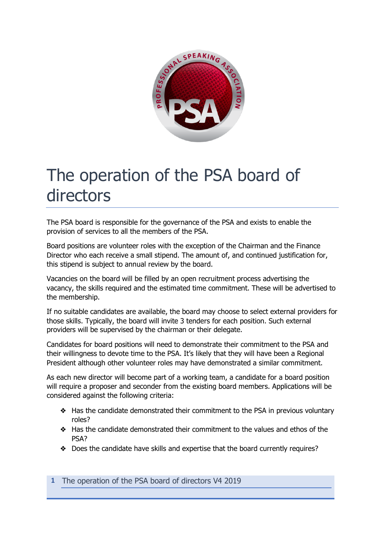

## The operation of the PSA board of directors

The PSA board is responsible for the governance of the PSA and exists to enable the provision of services to all the members of the PSA.

Board positions are volunteer roles with the exception of the Chairman and the Finance Director who each receive a small stipend. The amount of, and continued justification for, this stipend is subject to annual review by the board.

Vacancies on the board will be filled by an open recruitment process advertising the vacancy, the skills required and the estimated time commitment. These will be advertised to the membership.

If no suitable candidates are available, the board may choose to select external providers for those skills. Typically, the board will invite 3 tenders for each position. Such external providers will be supervised by the chairman or their delegate.

Candidates for board positions will need to demonstrate their commitment to the PSA and their willingness to devote time to the PSA. It's likely that they will have been a Regional President although other volunteer roles may have demonstrated a similar commitment.

As each new director will become part of a working team, a candidate for a board position will require a proposer and seconder from the existing board members. Applications will be considered against the following criteria:

- ❖ Has the candidate demonstrated their commitment to the PSA in previous voluntary roles?
- ❖ Has the candidate demonstrated their commitment to the values and ethos of the PSA?
- ❖ Does the candidate have skills and expertise that the board currently requires?

**1** The operation of the PSA board of directors V4 2019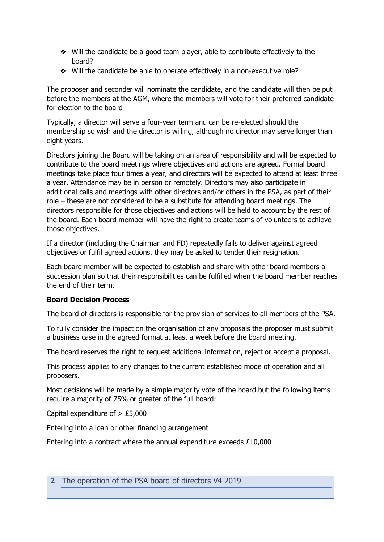- ❖ Will the candidate be a good team player, able to contribute effectively to the board?
- ❖ Will the candidate be able to operate effectively in a non-executive role?

The proposer and seconder will nominate the candidate, and the candidate will then be put before the members at the AGM, where the members will vote for their preferred candidate for election to the board

Typically, a director will serve a four-year term and can be re-elected should the membership so wish and the director is willing, although no director may serve longer than eight years.

Directors joining the Board will be taking on an area of responsibility and will be expected to contribute to the board meetings where objectives and actions are agreed. Formal board meetings take place four times a year, and directors will be expected to attend at least three a year. Attendance may be in person or remotely. Directors may also participate in additional calls and meetings with other directors and/or others in the PSA, as part of their role – these are not considered to be a substitute for attending board meetings. The directors responsible for those objectives and actions will be held to account by the rest of the board. Each board member will have the right to create teams of volunteers to achieve those objectives.

If a director (including the Chairman and FD) repeatedly fails to deliver against agreed objectives or fulfil agreed actions, they may be asked to tender their resignation.

Each board member will be expected to establish and share with other board members a succession plan so that their responsibilities can be fulfilled when the board member reaches the end of their term.

## **Board Decision Process**

The board of directors is responsible for the provision of services to all members of the PSA.

To fully consider the impact on the organisation of any proposals the proposer must submit a business case in the agreed format at least a week before the board meeting.

The board reserves the right to request additional information, reject or accept a proposal.

This process applies to any changes to the current established mode of operation and all proposers.

Most decisions will be made by a simple majority vote of the board but the following items require a majority of 75% or greater of the full board:

Capital expenditure of  $> \text{\pounds}5,000$ 

Entering into a loan or other financing arrangement

Entering into a contract where the annual expenditure exceeds £10,000

## **2** The operation of the PSA board of directors V4 2019